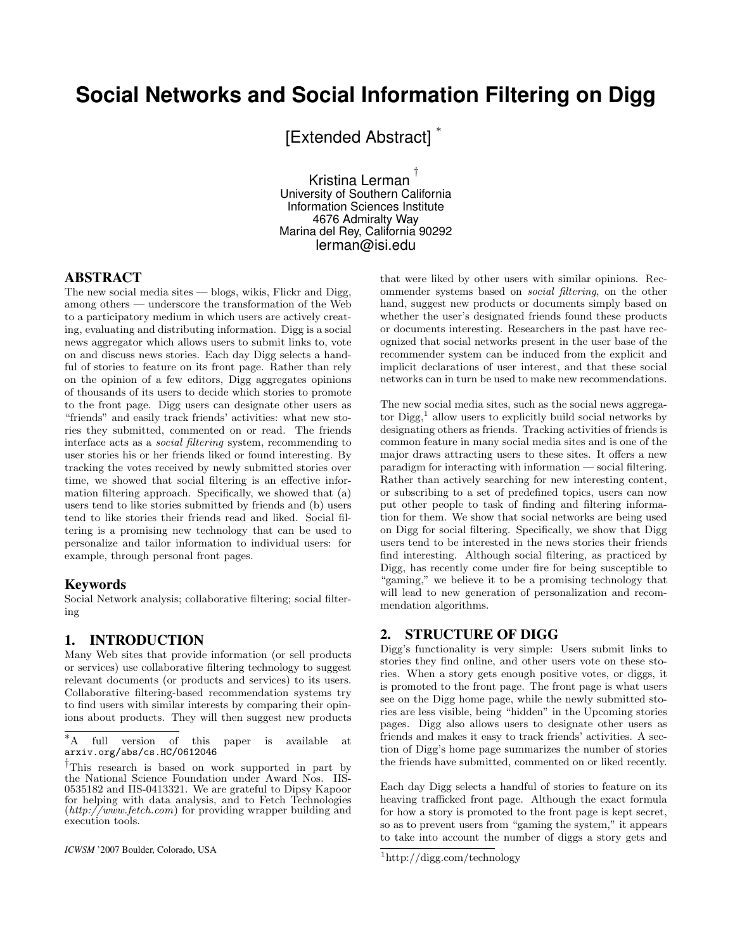# **Social Networks and Social Information Filtering on Digg**

[Extended Abstract] \*

Kristina Lerman † University of Southern California Information Sciences Institute 4676 Admiralty Way Marina del Rey, California 90292 lerman@isi.edu

#### ABSTRACT

The new social media sites — blogs, wikis, Flickr and Digg, among others — underscore the transformation of the Web to a participatory medium in which users are actively creating, evaluating and distributing information. Digg is a social news aggregator which allows users to submit links to, vote on and discuss news stories. Each day Digg selects a handful of stories to feature on its front page. Rather than rely on the opinion of a few editors, Digg aggregates opinions of thousands of its users to decide which stories to promote to the front page. Digg users can designate other users as "friends" and easily track friends' activities: what new stories they submitted, commented on or read. The friends interface acts as a social filtering system, recommending to user stories his or her friends liked or found interesting. By tracking the votes received by newly submitted stories over time, we showed that social filtering is an effective information filtering approach. Specifically, we showed that (a) users tend to like stories submitted by friends and (b) users tend to like stories their friends read and liked. Social filtering is a promising new technology that can be used to personalize and tailor information to individual users: for example, through personal front pages.

#### Keywords

Social Network analysis; collaborative filtering; social filtering

## 1. INTRODUCTION

Many Web sites that provide information (or sell products or services) use collaborative filtering technology to suggest relevant documents (or products and services) to its users. Collaborative filtering-based recommendation systems try to find users with similar interests by comparing their opinions about products. They will then suggest new products

*ICWSM* '2007 Boulder, Colorado, USA

that were liked by other users with similar opinions. Recommender systems based on social filtering, on the other hand, suggest new products or documents simply based on whether the user's designated friends found these products or documents interesting. Researchers in the past have recognized that social networks present in the user base of the recommender system can be induced from the explicit and implicit declarations of user interest, and that these social networks can in turn be used to make new recommendations.

The new social media sites, such as the social news aggregator Digg,<sup>1</sup> allow users to explicitly build social networks by designating others as friends. Tracking activities of friends is common feature in many social media sites and is one of the major draws attracting users to these sites. It offers a new paradigm for interacting with information — social filtering. Rather than actively searching for new interesting content, or subscribing to a set of predefined topics, users can now put other people to task of finding and filtering information for them. We show that social networks are being used on Digg for social filtering. Specifically, we show that Digg users tend to be interested in the news stories their friends find interesting. Although social filtering, as practiced by Digg, has recently come under fire for being susceptible to "gaming," we believe it to be a promising technology that will lead to new generation of personalization and recommendation algorithms.

## 2. STRUCTURE OF DIGG

Digg's functionality is very simple: Users submit links to stories they find online, and other users vote on these stories. When a story gets enough positive votes, or diggs, it is promoted to the front page. The front page is what users see on the Digg home page, while the newly submitted stories are less visible, being "hidden" in the Upcoming stories pages. Digg also allows users to designate other users as friends and makes it easy to track friends' activities. A section of Digg's home page summarizes the number of stories the friends have submitted, commented on or liked recently.

Each day Digg selects a handful of stories to feature on its heaving trafficked front page. Although the exact formula for how a story is promoted to the front page is kept secret, so as to prevent users from "gaming the system," it appears to take into account the number of diggs a story gets and

<sup>∗</sup>A full version of this paper is available at arxiv.org/abs/cs.HC/0612046

<sup>†</sup>This research is based on work supported in part by the National Science Foundation under Award Nos. IIS-0535182 and IIS-0413321. We are grateful to Dipsy Kapoor for helping with data analysis, and to Fetch Technologies  $(http://www.fetch.com)$  for providing wrapper building and execution tools.

 $\frac{1}{\text{http://digg.com/technology}}$